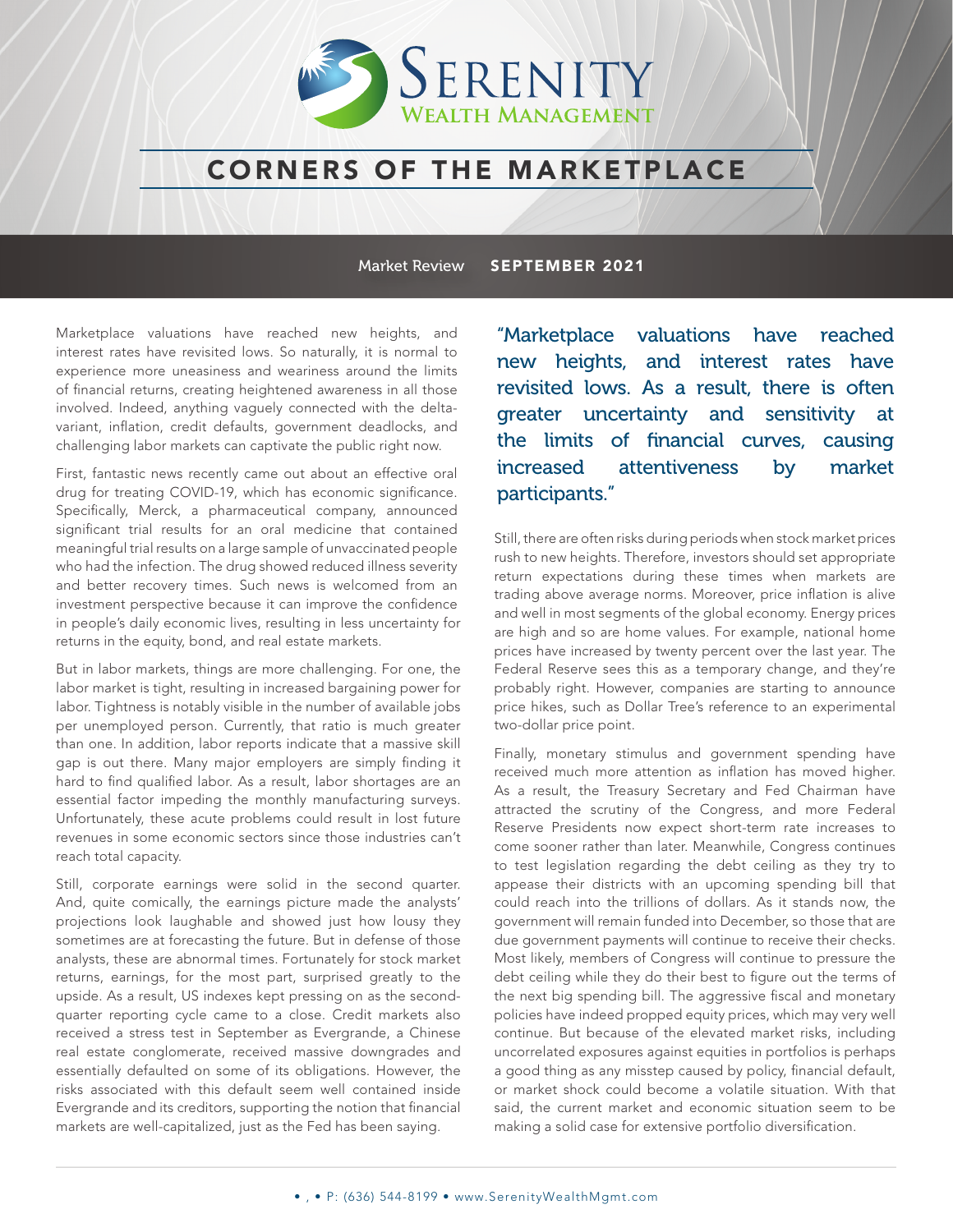

## CORNERS OF THE MARKETPLACE

Market Review SEPTEMBER 2021

Marketplace valuations have reached new heights, and interest rates have revisited lows. So naturally, it is normal to experience more uneasiness and weariness around the limits of financial returns, creating heightened awareness in all those involved. Indeed, anything vaguely connected with the deltavariant, inflation, credit defaults, government deadlocks, and challenging labor markets can captivate the public right now.

First, fantastic news recently came out about an effective oral drug for treating COVID-19, which has economic significance. Specifically, Merck, a pharmaceutical company, announced significant trial results for an oral medicine that contained meaningful trial results on a large sample of unvaccinated people who had the infection. The drug showed reduced illness severity and better recovery times. Such news is welcomed from an investment perspective because it can improve the confidence in people's daily economic lives, resulting in less uncertainty for returns in the equity, bond, and real estate markets.

But in labor markets, things are more challenging. For one, the labor market is tight, resulting in increased bargaining power for labor. Tightness is notably visible in the number of available jobs per unemployed person. Currently, that ratio is much greater than one. In addition, labor reports indicate that a massive skill gap is out there. Many major employers are simply finding it hard to find qualified labor. As a result, labor shortages are an essential factor impeding the monthly manufacturing surveys. Unfortunately, these acute problems could result in lost future revenues in some economic sectors since those industries can't reach total capacity.

Still, corporate earnings were solid in the second quarter. And, quite comically, the earnings picture made the analysts' projections look laughable and showed just how lousy they sometimes are at forecasting the future. But in defense of those analysts, these are abnormal times. Fortunately for stock market returns, earnings, for the most part, surprised greatly to the upside. As a result, US indexes kept pressing on as the secondquarter reporting cycle came to a close. Credit markets also received a stress test in September as Evergrande, a Chinese real estate conglomerate, received massive downgrades and essentially defaulted on some of its obligations. However, the risks associated with this default seem well contained inside Evergrande and its creditors, supporting the notion that financial markets are well-capitalized, just as the Fed has been saying.

"Marketplace valuations have reached new heights, and interest rates have revisited lows. As a result, there is often greater uncertainty and sensitivity at the limits of financial curves, causing increased attentiveness by market participants."

Still, there are often risks during periods when stock market prices rush to new heights. Therefore, investors should set appropriate return expectations during these times when markets are trading above average norms. Moreover, price inflation is alive and well in most segments of the global economy. Energy prices are high and so are home values. For example, national home prices have increased by twenty percent over the last year. The Federal Reserve sees this as a temporary change, and they're probably right. However, companies are starting to announce price hikes, such as Dollar Tree's reference to an experimental two-dollar price point.

Finally, monetary stimulus and government spending have received much more attention as inflation has moved higher. As a result, the Treasury Secretary and Fed Chairman have attracted the scrutiny of the Congress, and more Federal Reserve Presidents now expect short-term rate increases to come sooner rather than later. Meanwhile, Congress continues to test legislation regarding the debt ceiling as they try to appease their districts with an upcoming spending bill that could reach into the trillions of dollars. As it stands now, the government will remain funded into December, so those that are due government payments will continue to receive their checks. Most likely, members of Congress will continue to pressure the debt ceiling while they do their best to figure out the terms of the next big spending bill. The aggressive fiscal and monetary policies have indeed propped equity prices, which may very well continue. But because of the elevated market risks, including uncorrelated exposures against equities in portfolios is perhaps a good thing as any misstep caused by policy, financial default, or market shock could become a volatile situation. With that said, the current market and economic situation seem to be making a solid case for extensive portfolio diversification.